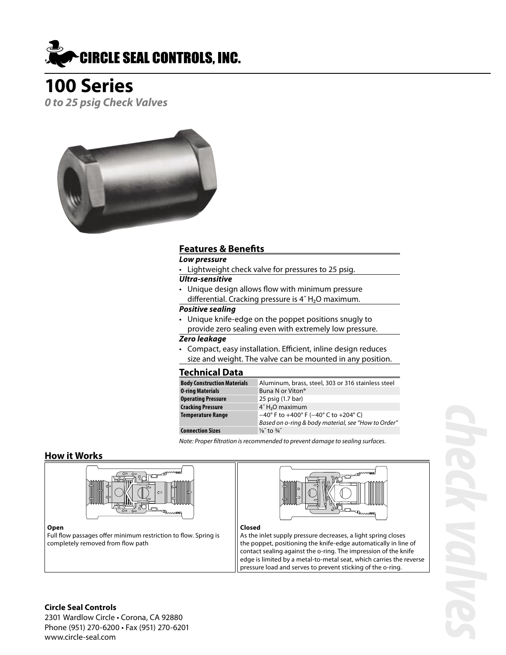

# **100 Series**

**0 to 25 psig Check Valves**



#### **Features & Benefits**

**Low pressure**

• Lightweight check valve for pressures to 25 psig.

#### **Ultra-sensitive**

• Unique design allows flow with minimum pressure differential. Cracking pressure is 4˝ H ₂O maximum.

#### **Positive sealing**

• Unique knife-edge on the poppet positions snugly to provide zero sealing even with extremely low pressure.

#### **Zero leakage**

• Compact, easy installation. Efficient, inline design reduces size and weight. The valve can be mounted in any position.

#### **Technical Data**

| <b>Body Construction Materials</b> | Aluminum, brass, steel, 303 or 316 stainless steel                         |
|------------------------------------|----------------------------------------------------------------------------|
| <b>0-ring Materials</b>            | Buna N or Viton <sup>®</sup>                                               |
| <b>Operating Pressure</b>          | 25 psig (1.7 bar)                                                          |
| <b>Cracking Pressure</b>           | 4"H <sub>2</sub> O maximum                                                 |
| <b>Temperature Range</b>           | $-40^{\circ}$ F to $+400^{\circ}$ F ( $-40^{\circ}$ C to $+204^{\circ}$ C) |
|                                    | Based on o-ring & body material, see "How to Order"                        |
| <b>Connection Sizes</b>            | $\frac{1}{8}$ to $\frac{3}{4}$ "                                           |

Note: Proper filtration is recommended to prevent damage to sealing surfaces.

#### **How it Works**





#### **Open**

Full flow passages offer minimum restriction to flow. Spring is completely removed from flow path

#### **Closed**

As the inlet supply pressure decreases, a light spring closes the poppet, positioning the knife-edge automatically in line of contact sealing against the o-ring. The impression of the knife edge is limited by a metal-to-metal seat, which carries the reverse pressure load and serves to prevent sticking of the o-ring.

#### **Circle Seal Controls**

2301 Wardlow Circle • Corona, CA 92880 Phone (951) 270-6200 • Fax (951) 270-6201 www.circle-seal.com